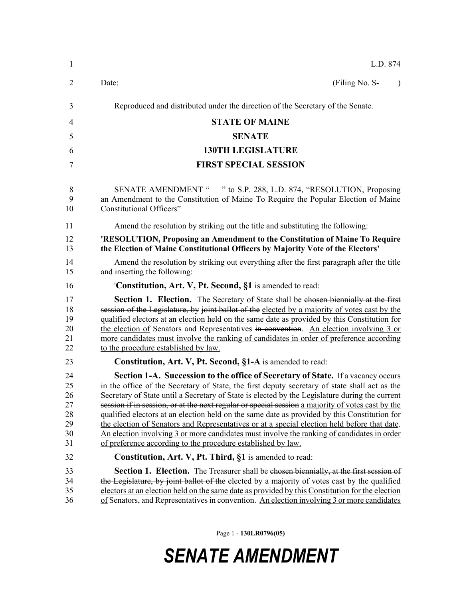| L.D. 874                                                                                                                                                                                                                                                                                                                                                                                                                                                                                                                                                                                                                                                                                                                                                     |
|--------------------------------------------------------------------------------------------------------------------------------------------------------------------------------------------------------------------------------------------------------------------------------------------------------------------------------------------------------------------------------------------------------------------------------------------------------------------------------------------------------------------------------------------------------------------------------------------------------------------------------------------------------------------------------------------------------------------------------------------------------------|
| Date:<br>(Filing No. S-<br>$\lambda$                                                                                                                                                                                                                                                                                                                                                                                                                                                                                                                                                                                                                                                                                                                         |
| Reproduced and distributed under the direction of the Secretary of the Senate.                                                                                                                                                                                                                                                                                                                                                                                                                                                                                                                                                                                                                                                                               |
| <b>STATE OF MAINE</b>                                                                                                                                                                                                                                                                                                                                                                                                                                                                                                                                                                                                                                                                                                                                        |
| <b>SENATE</b>                                                                                                                                                                                                                                                                                                                                                                                                                                                                                                                                                                                                                                                                                                                                                |
| <b>130TH LEGISLATURE</b>                                                                                                                                                                                                                                                                                                                                                                                                                                                                                                                                                                                                                                                                                                                                     |
| <b>FIRST SPECIAL SESSION</b>                                                                                                                                                                                                                                                                                                                                                                                                                                                                                                                                                                                                                                                                                                                                 |
| SENATE AMENDMENT " " to S.P. 288, L.D. 874, "RESOLUTION, Proposing<br>an Amendment to the Constitution of Maine To Require the Popular Election of Maine<br>Constitutional Officers"                                                                                                                                                                                                                                                                                                                                                                                                                                                                                                                                                                         |
| Amend the resolution by striking out the title and substituting the following:                                                                                                                                                                                                                                                                                                                                                                                                                                                                                                                                                                                                                                                                               |
| 'RESOLUTION, Proposing an Amendment to the Constitution of Maine To Require<br>the Election of Maine Constitutional Officers by Majority Vote of the Electors'                                                                                                                                                                                                                                                                                                                                                                                                                                                                                                                                                                                               |
| Amend the resolution by striking out everything after the first paragraph after the title<br>and inserting the following:                                                                                                                                                                                                                                                                                                                                                                                                                                                                                                                                                                                                                                    |
| 'Constitution, Art. V, Pt. Second, §1 is amended to read:                                                                                                                                                                                                                                                                                                                                                                                                                                                                                                                                                                                                                                                                                                    |
| <b>Section 1. Election.</b> The Secretary of State shall be chosen biennially at the first<br>session of the Legislature, by joint ballot of the elected by a majority of votes cast by the<br>qualified electors at an election held on the same date as provided by this Constitution for<br>the election of Senators and Representatives in convention. An election involving 3 or<br>more candidates must involve the ranking of candidates in order of preference according<br>to the procedure established by law.                                                                                                                                                                                                                                     |
| Constitution, Art. V, Pt. Second, §1-A is amended to read:                                                                                                                                                                                                                                                                                                                                                                                                                                                                                                                                                                                                                                                                                                   |
| <b>Section 1-A. Succession to the office of Secretary of State.</b> If a vacancy occurs<br>in the office of the Secretary of State, the first deputy secretary of state shall act as the<br>Secretary of State until a Secretary of State is elected by the Legislature during the current<br>session if in session, or at the next regular or special session a majority of votes cast by the<br>qualified electors at an election held on the same date as provided by this Constitution for<br>the election of Senators and Representatives or at a special election held before that date.<br>An election involving 3 or more candidates must involve the ranking of candidates in order<br>of preference according to the procedure established by law. |
| Constitution, Art. V, Pt. Third, §1 is amended to read:                                                                                                                                                                                                                                                                                                                                                                                                                                                                                                                                                                                                                                                                                                      |
| Section 1. Election. The Treasurer shall be chosen biennially, at the first session of<br>the Legislature, by joint ballot of the elected by a majority of votes cast by the qualified<br>electors at an election held on the same date as provided by this Constitution for the election<br>of Senators, and Representatives in convention. An election involving 3 or more candidates                                                                                                                                                                                                                                                                                                                                                                      |

Page 1 - **130LR0796(05)**

## *SENATE AMENDMENT*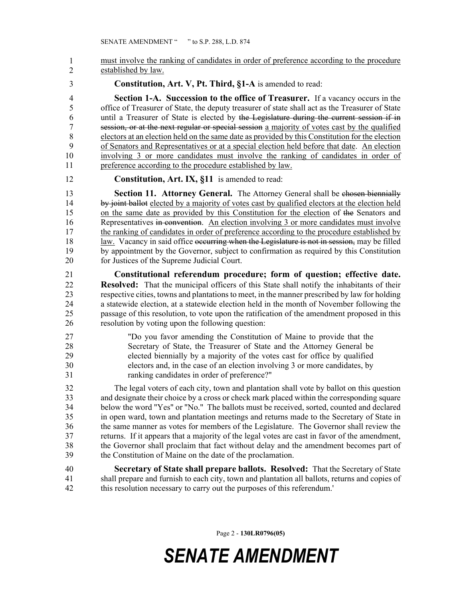must involve the ranking of candidates in order of preference according to the procedure established by law. 1 2

3 **Constitution, Art. V, Pt. Third, §1-A** is amended to read:

4 **Section 1-A. Succession to the office of Treasurer.** If a vacancy occurs in the 5 office of Treasurer of State, the deputy treasurer of state shall act as the Treasurer of State 6 until a Treasurer of State is elected by the Legislature during the current session if in 7 session, or at the next regular or special session a majority of votes cast by the qualified 8 electors at an election held on the same date as provided by this Constitution for the election 9 of Senators and Representatives or at a special election held before that date. An election 10 involving 3 or more candidates must involve the ranking of candidates in order of 11 preference according to the procedure established by law.

12 **Constitution, Art. IX, §11** is amended to read:

13 **Section 11. Attorney General.** The Attorney General shall be chosen biennially 14 by joint ballot elected by a majority of votes cast by qualified electors at the election held 15 on the same date as provided by this Constitution for the election of the Senators and 16 Representatives in convention. An election involving 3 or more candidates must involve 17 the ranking of candidates in order of preference according to the procedure established by 18 law. Vacancy in said office occurring when the Legislature is not in session, may be filled 19 by appointment by the Governor, subject to confirmation as required by this Constitution 20 for Justices of the Supreme Judicial Court.

21 **Constitutional referendum procedure; form of question; effective date.**  22 **Resolved:** That the municipal officers of this State shall notify the inhabitants of their 23 respective cities, towns and plantations to meet, in the manner prescribed by law for holding 24 a statewide election, at a statewide election held in the month of November following the 25 passage of this resolution, to vote upon the ratification of the amendment proposed in this 26 resolution by voting upon the following question:

27 "Do you favor amending the Constitution of Maine to provide that the 28 Secretary of State, the Treasurer of State and the Attorney General be 29 elected biennially by a majority of the votes cast for office by qualified 30 electors and, in the case of an election involving 3 or more candidates, by 31 ranking candidates in order of preference?"

32 The legal voters of each city, town and plantation shall vote by ballot on this question 33 and designate their choice by a cross or check mark placed within the corresponding square 34 below the word "Yes" or "No." The ballots must be received, sorted, counted and declared 35 in open ward, town and plantation meetings and returns made to the Secretary of State in 36 the same manner as votes for members of the Legislature. The Governor shall review the 37 returns. If it appears that a majority of the legal votes are cast in favor of the amendment, 38 the Governor shall proclaim that fact without delay and the amendment becomes part of 39 the Constitution of Maine on the date of the proclamation.

40 **Secretary of State shall prepare ballots. Resolved:** That the Secretary of State 41 shall prepare and furnish to each city, town and plantation all ballots, returns and copies of 42 this resolution necessary to carry out the purposes of this referendum.'

Page 2 - **130LR0796(05)**

*SENATE AMENDMENT*